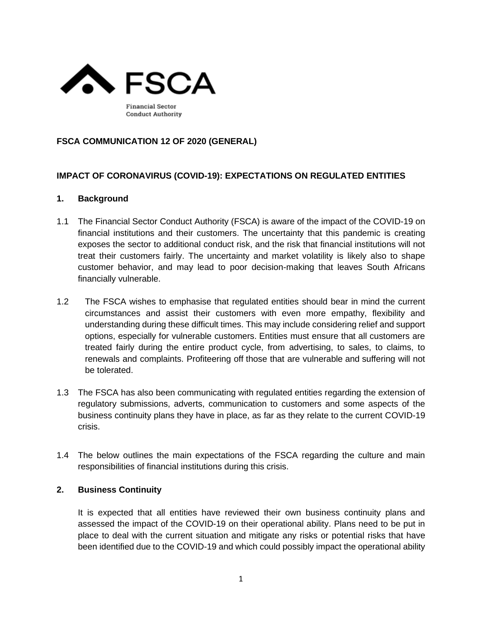

## **FSCA COMMUNICATION 12 OF 2020 (GENERAL)**

## **IMPACT OF CORONAVIRUS (COVID-19): EXPECTATIONS ON REGULATED ENTITIES**

#### **1. Background**

- 1.1 The Financial Sector Conduct Authority (FSCA) is aware of the impact of the COVID-19 on financial institutions and their customers. The uncertainty that this pandemic is creating exposes the sector to additional conduct risk, and the risk that financial institutions will not treat their customers fairly. The uncertainty and market volatility is likely also to shape customer behavior, and may lead to poor decision-making that leaves South Africans financially vulnerable.
- 1.2 The FSCA wishes to emphasise that regulated entities should bear in mind the current circumstances and assist their customers with even more empathy, flexibility and understanding during these difficult times. This may include considering relief and support options, especially for vulnerable customers. Entities must ensure that all customers are treated fairly during the entire product cycle, from advertising, to sales, to claims, to renewals and complaints. Profiteering off those that are vulnerable and suffering will not be tolerated.
- 1.3 The FSCA has also been communicating with regulated entities regarding the extension of regulatory submissions, adverts, communication to customers and some aspects of the business continuity plans they have in place, as far as they relate to the current COVID-19 crisis.
- 1.4 The below outlines the main expectations of the FSCA regarding the culture and main responsibilities of financial institutions during this crisis.

## **2. Business Continuity**

It is expected that all entities have reviewed their own business continuity plans and assessed the impact of the COVID-19 on their operational ability. Plans need to be put in place to deal with the current situation and mitigate any risks or potential risks that have been identified due to the COVID-19 and which could possibly impact the operational ability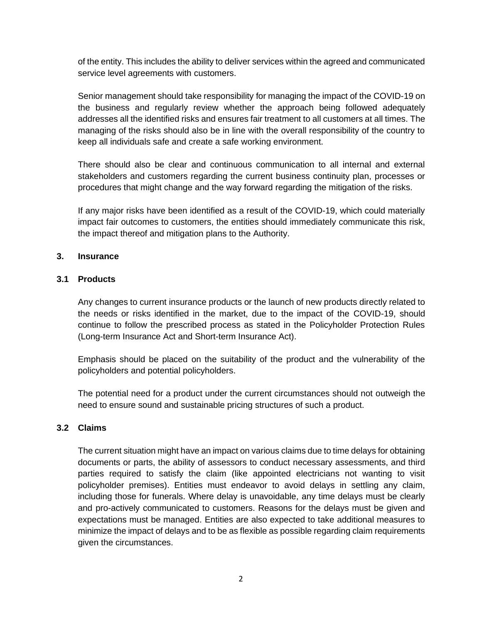of the entity. This includes the ability to deliver services within the agreed and communicated service level agreements with customers.

Senior management should take responsibility for managing the impact of the COVID-19 on the business and regularly review whether the approach being followed adequately addresses all the identified risks and ensures fair treatment to all customers at all times. The managing of the risks should also be in line with the overall responsibility of the country to keep all individuals safe and create a safe working environment.

There should also be clear and continuous communication to all internal and external stakeholders and customers regarding the current business continuity plan, processes or procedures that might change and the way forward regarding the mitigation of the risks.

If any major risks have been identified as a result of the COVID-19, which could materially impact fair outcomes to customers, the entities should immediately communicate this risk, the impact thereof and mitigation plans to the Authority.

## **3. Insurance**

## **3.1 Products**

Any changes to current insurance products or the launch of new products directly related to the needs or risks identified in the market, due to the impact of the COVID-19, should continue to follow the prescribed process as stated in the Policyholder Protection Rules (Long-term Insurance Act and Short-term Insurance Act).

Emphasis should be placed on the suitability of the product and the vulnerability of the policyholders and potential policyholders.

The potential need for a product under the current circumstances should not outweigh the need to ensure sound and sustainable pricing structures of such a product.

## **3.2 Claims**

The current situation might have an impact on various claims due to time delays for obtaining documents or parts, the ability of assessors to conduct necessary assessments, and third parties required to satisfy the claim (like appointed electricians not wanting to visit policyholder premises). Entities must endeavor to avoid delays in settling any claim, including those for funerals. Where delay is unavoidable, any time delays must be clearly and pro-actively communicated to customers. Reasons for the delays must be given and expectations must be managed. Entities are also expected to take additional measures to minimize the impact of delays and to be as flexible as possible regarding claim requirements given the circumstances.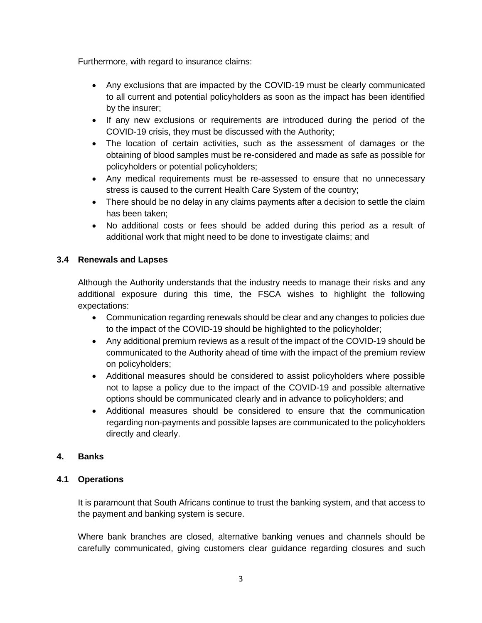Furthermore, with regard to insurance claims:

- Any exclusions that are impacted by the COVID-19 must be clearly communicated to all current and potential policyholders as soon as the impact has been identified by the insurer;
- If any new exclusions or requirements are introduced during the period of the COVID-19 crisis, they must be discussed with the Authority;
- The location of certain activities, such as the assessment of damages or the obtaining of blood samples must be re-considered and made as safe as possible for policyholders or potential policyholders;
- Any medical requirements must be re-assessed to ensure that no unnecessary stress is caused to the current Health Care System of the country;
- There should be no delay in any claims payments after a decision to settle the claim has been taken;
- No additional costs or fees should be added during this period as a result of additional work that might need to be done to investigate claims; and

# **3.4 Renewals and Lapses**

Although the Authority understands that the industry needs to manage their risks and any additional exposure during this time, the FSCA wishes to highlight the following expectations:

- Communication regarding renewals should be clear and any changes to policies due to the impact of the COVID-19 should be highlighted to the policyholder;
- Any additional premium reviews as a result of the impact of the COVID-19 should be communicated to the Authority ahead of time with the impact of the premium review on policyholders;
- Additional measures should be considered to assist policyholders where possible not to lapse a policy due to the impact of the COVID-19 and possible alternative options should be communicated clearly and in advance to policyholders; and
- Additional measures should be considered to ensure that the communication regarding non-payments and possible lapses are communicated to the policyholders directly and clearly.

# **4. Banks**

# **4.1 Operations**

It is paramount that South Africans continue to trust the banking system, and that access to the payment and banking system is secure.

Where bank branches are closed, alternative banking venues and channels should be carefully communicated, giving customers clear guidance regarding closures and such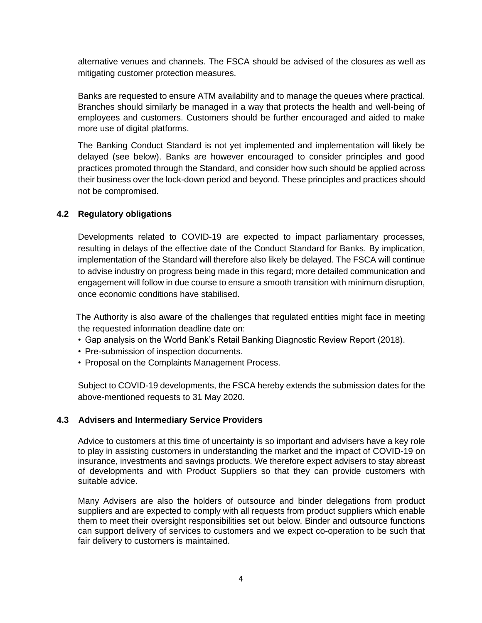alternative venues and channels. The FSCA should be advised of the closures as well as mitigating customer protection measures.

Banks are requested to ensure ATM availability and to manage the queues where practical. Branches should similarly be managed in a way that protects the health and well-being of employees and customers. Customers should be further encouraged and aided to make more use of digital platforms.

The Banking Conduct Standard is not yet implemented and implementation will likely be delayed (see below). Banks are however encouraged to consider principles and good practices promoted through the Standard, and consider how such should be applied across their business over the lock-down period and beyond. These principles and practices should not be compromised.

## **4.2 Regulatory obligations**

Developments related to COVID-19 are expected to impact parliamentary processes, resulting in delays of the effective date of the Conduct Standard for Banks. By implication, implementation of the Standard will therefore also likely be delayed. The FSCA will continue to advise industry on progress being made in this regard; more detailed communication and engagement will follow in due course to ensure a smooth transition with minimum disruption, once economic conditions have stabilised.

 The Authority is also aware of the challenges that regulated entities might face in meeting the requested information deadline date on:

- Gap analysis on the World Bank's Retail Banking Diagnostic Review Report (2018).
- Pre-submission of inspection documents.
- Proposal on the Complaints Management Process.

Subject to COVID-19 developments, the FSCA hereby extends the submission dates for the above-mentioned requests to 31 May 2020.

#### **4.3 Advisers and Intermediary Service Providers**

Advice to customers at this time of uncertainty is so important and advisers have a key role to play in assisting customers in understanding the market and the impact of COVID-19 on insurance, investments and savings products. We therefore expect advisers to stay abreast of developments and with Product Suppliers so that they can provide customers with suitable advice.

Many Advisers are also the holders of outsource and binder delegations from product suppliers and are expected to comply with all requests from product suppliers which enable them to meet their oversight responsibilities set out below. Binder and outsource functions can support delivery of services to customers and we expect co-operation to be such that fair delivery to customers is maintained.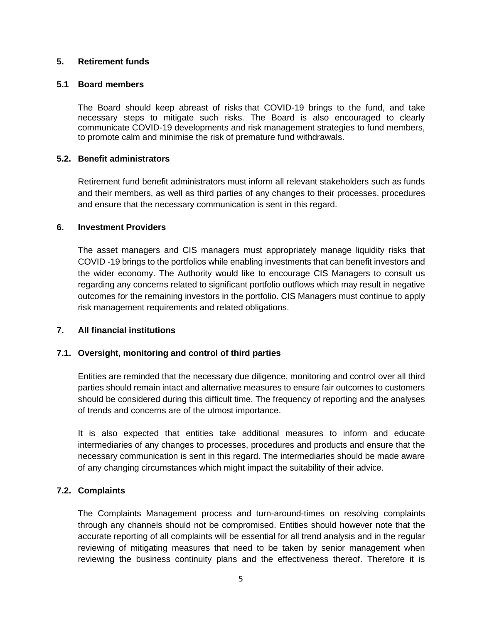## **5. Retirement funds**

### **5.1 Board members**

The Board should keep abreast of risks that COVID-19 brings to the fund, and take necessary steps to mitigate such risks. The Board is also encouraged to clearly communicate COVID-19 developments and risk management strategies to fund members, to promote calm and minimise the risk of premature fund withdrawals.

### **5.2. Benefit administrators**

Retirement fund benefit administrators must inform all relevant stakeholders such as funds and their members, as well as third parties of any changes to their processes, procedures and ensure that the necessary communication is sent in this regard.

### **6. Investment Providers**

The asset managers and CIS managers must appropriately manage liquidity risks that COVID -19 brings to the portfolios while enabling investments that can benefit investors and the wider economy. The Authority would like to encourage CIS Managers to consult us regarding any concerns related to significant portfolio outflows which may result in negative outcomes for the remaining investors in the portfolio. CIS Managers must continue to apply risk management requirements and related obligations.

#### **7. All financial institutions**

## **7.1. Oversight, monitoring and control of third parties**

Entities are reminded that the necessary due diligence, monitoring and control over all third parties should remain intact and alternative measures to ensure fair outcomes to customers should be considered during this difficult time. The frequency of reporting and the analyses of trends and concerns are of the utmost importance.

It is also expected that entities take additional measures to inform and educate intermediaries of any changes to processes, procedures and products and ensure that the necessary communication is sent in this regard. The intermediaries should be made aware of any changing circumstances which might impact the suitability of their advice.

## **7.2. Complaints**

The Complaints Management process and turn-around-times on resolving complaints through any channels should not be compromised. Entities should however note that the accurate reporting of all complaints will be essential for all trend analysis and in the regular reviewing of mitigating measures that need to be taken by senior management when reviewing the business continuity plans and the effectiveness thereof. Therefore it is